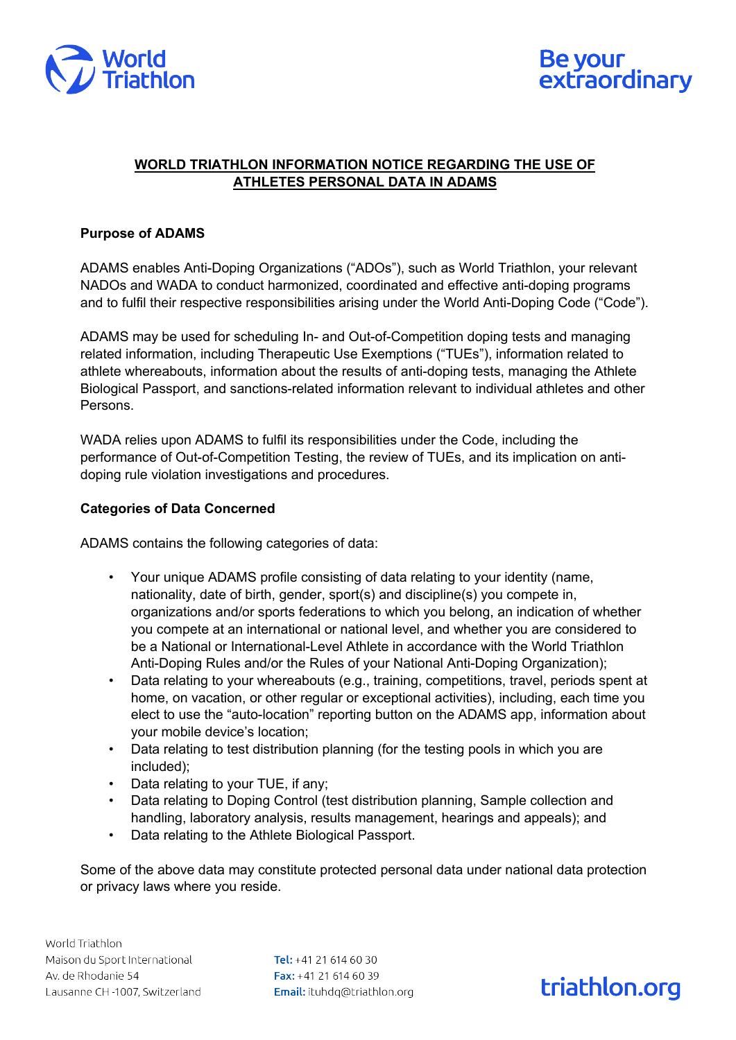



### **WORLD TRIATHLON INFORMATION NOTICE REGARDING THE USE OF ATHLETES PERSONAL DATA IN ADAMS**

### **Purpose of ADAMS**

ADAMS enables Anti-Doping Organizations ("ADOs"), such as World Triathlon, your relevant NADOs and WADA to conduct harmonized, coordinated and effective anti-doping programs and to fulfil their respective responsibilities arising under the World Anti-Doping Code ("Code").

ADAMS may be used for scheduling In- and Out-of-Competition doping tests and managing related information, including Therapeutic Use Exemptions ("TUEs"), information related to athlete whereabouts, information about the results of anti-doping tests, managing the Athlete Biological Passport, and sanctions-related information relevant to individual athletes and other Persons.

WADA relies upon ADAMS to fulfil its responsibilities under the Code, including the performance of Out-of-Competition Testing, the review of TUEs, and its implication on antidoping rule violation investigations and procedures.

#### **Categories of Data Concerned**

ADAMS contains the following categories of data:

- Your unique ADAMS profile consisting of data relating to your identity (name, nationality, date of birth, gender, sport(s) and discipline(s) you compete in, organizations and/or sports federations to which you belong, an indication of whether you compete at an international or national level, and whether you are considered to be a National or International-Level Athlete in accordance with the World Triathlon Anti-Doping Rules and/or the Rules of your National Anti-Doping Organization);
- Data relating to your whereabouts (e.g., training, competitions, travel, periods spent at home, on vacation, or other regular or exceptional activities), including, each time you elect to use the "auto-location" reporting button on the ADAMS app, information about your mobile device's location;
- Data relating to test distribution planning (for the testing pools in which you are included);
- Data relating to your TUE, if any;
- Data relating to Doping Control (test distribution planning, Sample collection and handling, laboratory analysis, results management, hearings and appeals); and
- Data relating to the Athlete Biological Passport.

Some of the above data may constitute protected personal data under national data protection or privacy laws where you reside.

Tel:  $+41$  21 614 60 30 Fax: +41 21 614 60 39 Email: ituhdq@triathlon.org

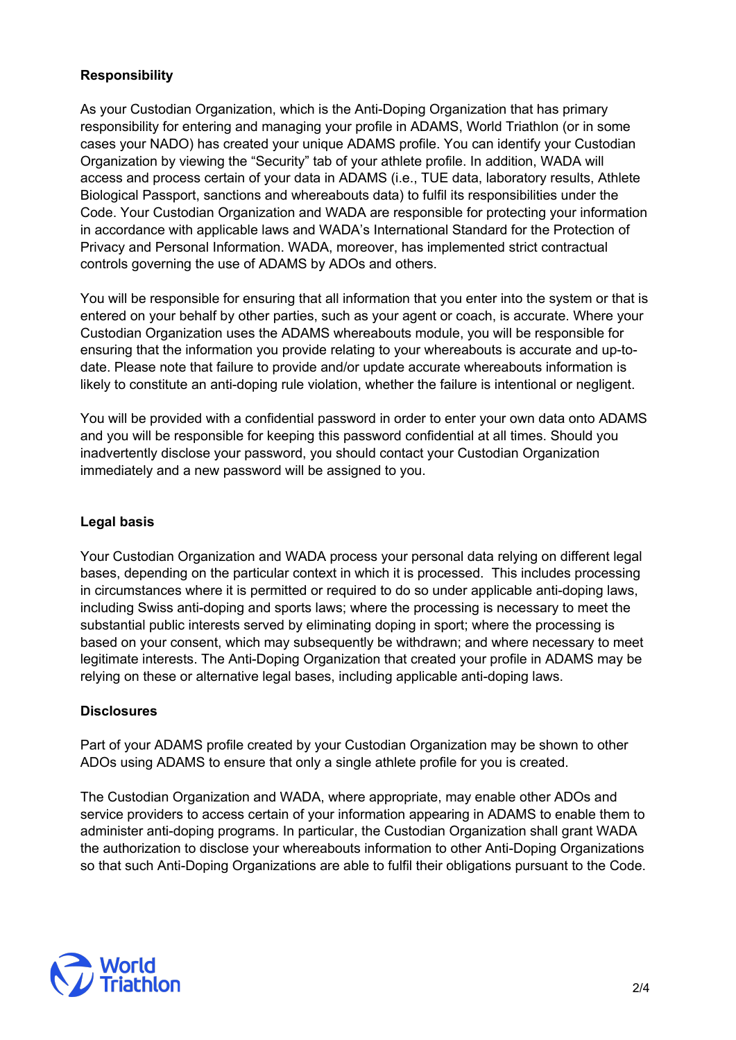# **Responsibility**

As your Custodian Organization, which is the Anti-Doping Organization that has primary responsibility for entering and managing your profile in ADAMS, World Triathlon (or in some cases your NADO) has created your unique ADAMS profile. You can identify your Custodian Organization by viewing the "Security" tab of your athlete profile. In addition, WADA will access and process certain of your data in ADAMS (i.e., TUE data, laboratory results, Athlete Biological Passport, sanctions and whereabouts data) to fulfil its responsibilities under the Code. Your Custodian Organization and WADA are responsible for protecting your information in accordance with applicable laws and WADA's International Standard for the Protection of Privacy and Personal Information. WADA, moreover, has implemented strict contractual controls governing the use of ADAMS by ADOs and others.

You will be responsible for ensuring that all information that you enter into the system or that is entered on your behalf by other parties, such as your agent or coach, is accurate. Where your Custodian Organization uses the ADAMS whereabouts module, you will be responsible for ensuring that the information you provide relating to your whereabouts is accurate and up-todate. Please note that failure to provide and/or update accurate whereabouts information is likely to constitute an anti-doping rule violation, whether the failure is intentional or negligent.

You will be provided with a confidential password in order to enter your own data onto ADAMS and you will be responsible for keeping this password confidential at all times. Should you inadvertently disclose your password, you should contact your Custodian Organization immediately and a new password will be assigned to you.

## **Legal basis**

Your Custodian Organization and WADA process your personal data relying on different legal bases, depending on the particular context in which it is processed. This includes processing in circumstances where it is permitted or required to do so under applicable anti-doping laws, including Swiss anti-doping and sports laws; where the processing is necessary to meet the substantial public interests served by eliminating doping in sport; where the processing is based on your consent, which may subsequently be withdrawn; and where necessary to meet legitimate interests. The Anti-Doping Organization that created your profile in ADAMS may be relying on these or alternative legal bases, including applicable anti-doping laws.

#### **Disclosures**

Part of your ADAMS profile created by your Custodian Organization may be shown to other ADOs using ADAMS to ensure that only a single athlete profile for you is created.

The Custodian Organization and WADA, where appropriate, may enable other ADOs and service providers to access certain of your information appearing in ADAMS to enable them to administer anti-doping programs. In particular, the Custodian Organization shall grant WADA the authorization to disclose your whereabouts information to other Anti-Doping Organizations so that such Anti-Doping Organizations are able to fulfil their obligations pursuant to the Code.

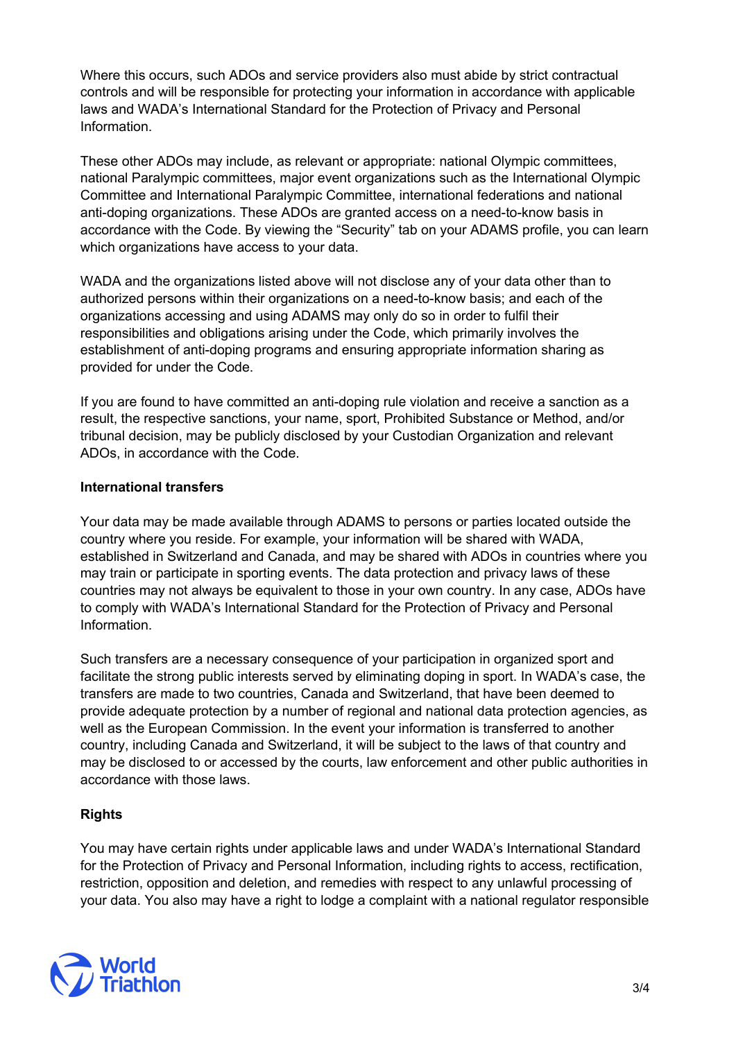Where this occurs, such ADOs and service providers also must abide by strict contractual controls and will be responsible for protecting your information in accordance with applicable laws and WADA's International Standard for the Protection of Privacy and Personal Information.

These other ADOs may include, as relevant or appropriate: national Olympic committees, national Paralympic committees, major event organizations such as the International Olympic Committee and International Paralympic Committee, international federations and national anti-doping organizations. These ADOs are granted access on a need-to-know basis in accordance with the Code. By viewing the "Security" tab on your ADAMS profile, you can learn which organizations have access to your data.

WADA and the organizations listed above will not disclose any of your data other than to authorized persons within their organizations on a need-to-know basis; and each of the organizations accessing and using ADAMS may only do so in order to fulfil their responsibilities and obligations arising under the Code, which primarily involves the establishment of anti-doping programs and ensuring appropriate information sharing as provided for under the Code.

If you are found to have committed an anti-doping rule violation and receive a sanction as a result, the respective sanctions, your name, sport, Prohibited Substance or Method, and/or tribunal decision, may be publicly disclosed by your Custodian Organization and relevant ADOs, in accordance with the Code.

### **International transfers**

Your data may be made available through ADAMS to persons or parties located outside the country where you reside. For example, your information will be shared with WADA, established in Switzerland and Canada, and may be shared with ADOs in countries where you may train or participate in sporting events. The data protection and privacy laws of these countries may not always be equivalent to those in your own country. In any case, ADOs have to comply with WADA's International Standard for the Protection of Privacy and Personal Information.

Such transfers are a necessary consequence of your participation in organized sport and facilitate the strong public interests served by eliminating doping in sport. In WADA's case, the transfers are made to two countries, Canada and Switzerland, that have been deemed to provide adequate protection by a number of regional and national data protection agencies, as well as the European Commission. In the event your information is transferred to another country, including Canada and Switzerland, it will be subject to the laws of that country and may be disclosed to or accessed by the courts, law enforcement and other public authorities in accordance with those laws.

## **Rights**

You may have certain rights under applicable laws and under WADA's International Standard for the Protection of Privacy and Personal Information, including rights to access, rectification, restriction, opposition and deletion, and remedies with respect to any unlawful processing of your data. You also may have a right to lodge a complaint with a national regulator responsible